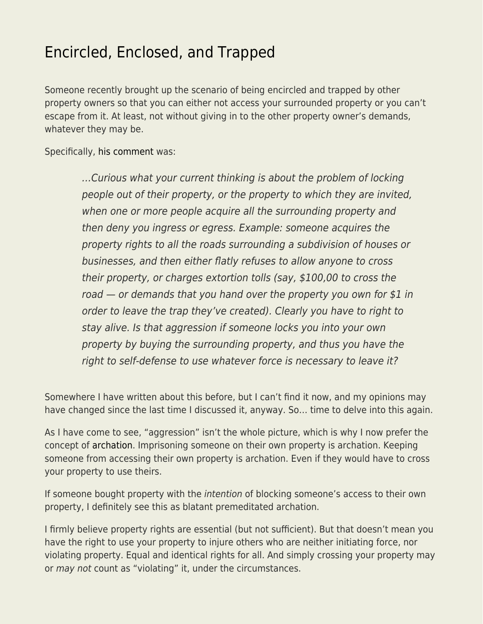## [Encircled, Enclosed, and Trapped](https://everything-voluntary.com/encircled-enclosed-and-trapped)

Someone recently brought up the scenario of being encircled and trapped by other property owners so that you can either not access your surrounded property or you can't escape from it. At least, not without giving in to the other property owner's demands, whatever they may be.

Specifically, [his comment](http://blog.kentforliberty.com/2018/07/balance.html?showComment=1531861198871#c2792019012411234275) was:

…Curious what your current thinking is about the problem of locking people out of their property, or the property to which they are invited, when one or more people acquire all the surrounding property and then deny you ingress or egress. Example: someone acquires the property rights to all the roads surrounding a subdivision of houses or businesses, and then either flatly refuses to allow anyone to cross their property, or charges extortion tolls (say, \$100,00 to cross the road  $-$  or demands that you hand over the property you own for \$1 in order to leave the trap they've created). Clearly you have to right to stay alive. Is that aggression if someone locks you into your own property by buying the surrounding property, and thus you have the right to self-defense to use whatever force is necessary to leave it?

Somewhere I have written about this before, but I can't find it now, and my opinions may have changed since the last time I discussed it, anyway. So… time to delve into this again.

As I have come to see, "aggression" isn't the whole picture, which is why I now prefer the concept of [archation](http://blog.kentforliberty.com/2016/08/archate.html). Imprisoning someone on their own property is archation. Keeping someone from accessing their own property is archation. Even if they would have to cross your property to use theirs.

If someone bought property with the *intention* of blocking someone's access to their own property, I definitely see this as blatant premeditated archation.

I firmly believe property rights are essential (but not sufficient). But that doesn't mean you have the right to use your property to injure others who are neither initiating force, nor violating property. Equal and identical rights for all. And simply crossing your property may or may not count as "violating" it, under the circumstances.